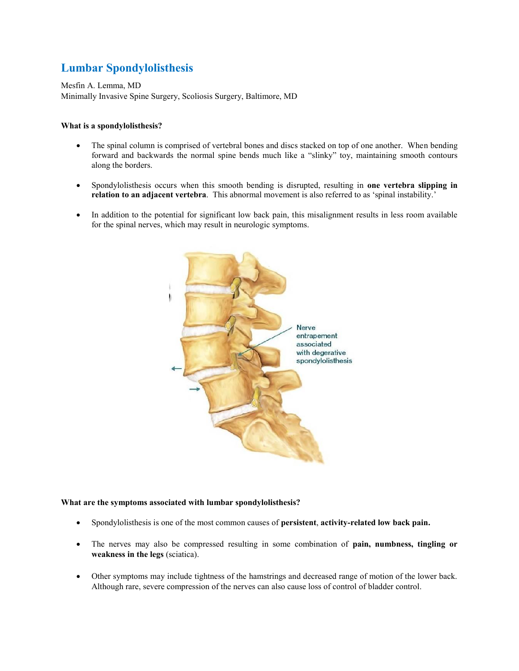# **Lumbar Spondylolisthesis**

Mesfin A. Lemma, MD Minimally Invasive Spine Surgery, Scoliosis Surgery, Baltimore, MD

## **What is a spondylolisthesis?**

- The spinal column is comprised of vertebral bones and discs stacked on top of one another. When bending forward and backwards the normal spine bends much like a "slinky" toy, maintaining smooth contours along the borders.
- Spondylolisthesis occurs when this smooth bending is disrupted, resulting in **one vertebra slipping in relation to an adjacent vertebra**. This abnormal movement is also referred to as 'spinal instability.'
- In addition to the potential for significant low back pain, this misalignment results in less room available for the spinal nerves, which may result in neurologic symptoms.



#### **What are the symptoms associated with lumbar spondylolisthesis?**

- Spondylolisthesis is one of the most common causes of **persistent**, **activity-related low back pain.**
- The nerves may also be compressed resulting in some combination of **pain, numbness, tingling or weakness in the legs** (sciatica).
- Other symptoms may include tightness of the hamstrings and decreased range of motion of the lower back. Although rare, severe compression of the nerves can also cause loss of control of bladder control.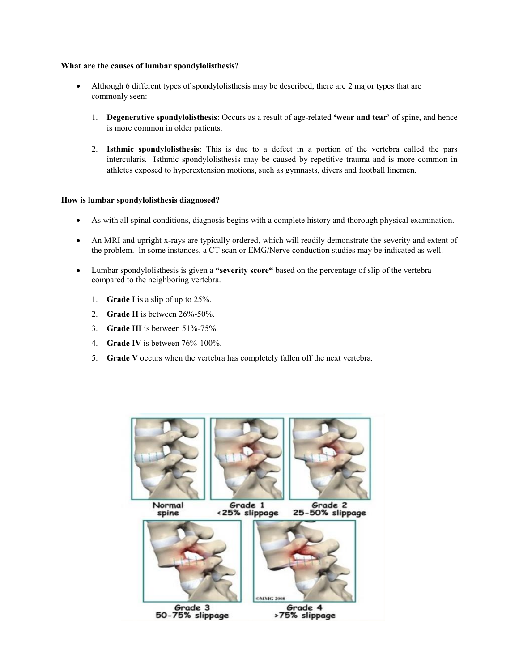#### **What are the causes of lumbar spondylolisthesis?**

- Although 6 different types of spondylolisthesis may be described, there are 2 major types that are commonly seen:
	- 1. **Degenerative spondylolisthesis**: Occurs as a result of age-related **'wear and tear'** of spine, and hence is more common in older patients.
	- 2. **Isthmic spondylolisthesis**: This is due to a defect in a portion of the vertebra called the pars intercularis. Isthmic spondylolisthesis may be caused by repetitive trauma and is more common in athletes exposed to hyperextension motions, such as gymnasts, divers and football linemen.

#### **How is lumbar spondylolisthesis diagnosed?**

- As with all spinal conditions, diagnosis begins with a complete history and thorough physical examination.
- An MRI and upright x-rays are typically ordered, which will readily demonstrate the severity and extent of the problem. In some instances, a CT scan or EMG/Nerve conduction studies may be indicated as well.
- Lumbar spondylolisthesis is given a **"severity score"** based on the percentage of slip of the vertebra compared to the neighboring vertebra.
	- 1. **Grade I** is a slip of up to 25%.
	- 2. **Grade II** is between 26%-50%.
	- 3. **Grade III** is between 51%-75%.
	- 4. **Grade IV** is between 76%-100%.
	- 5. **Grade V** occurs when the vertebra has completely fallen off the next vertebra.